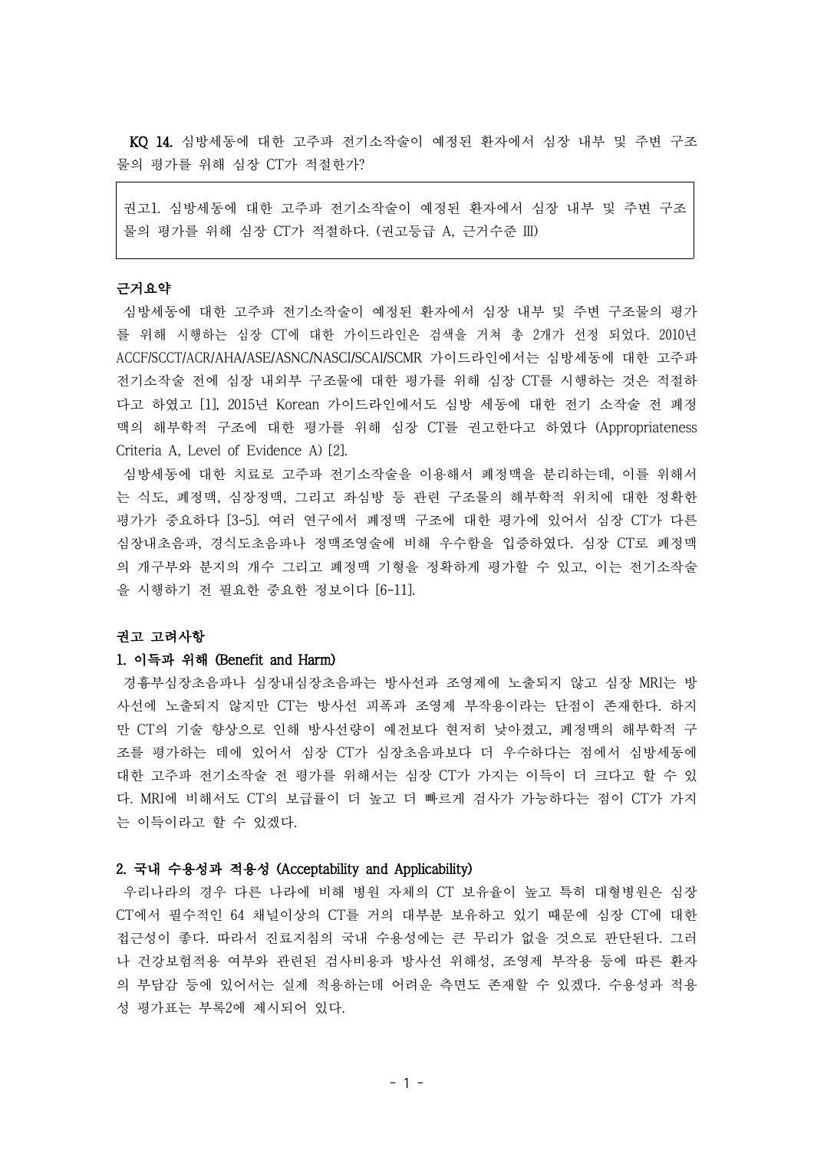KQ 14. 심방세동에 대한 고주파 전기소작술이 예정된 환자에서 심장 내부 및 주변 구조 물의 평가를 위해 심장 CT가 적절한가?

권고1. 심방세동에 대한 고주파 전기소작술이 예정된 환자에서 심장 내부 및 주변 구조 물의 평가를 위해 심장 CT가 적절하다. (권고등급 A, 근거수준 III)

# 근거요약

심방세동에 대한 고주파 전기소작술이 예정된 환자에서 심장 내부 및 주변 구조물의 평가 를 위해 시행하는 심장 CT에 대한 가이드라인은 검색을 거쳐 총 2개가 선정 되었다. 2010년 ACCF/SCCT/ACR/AHA/ASE/ASNC/NASCI/SCAI/SCMR 가이드라인에서는 심방세동에 대한 고주파 전기소작술 전에 심장 내외부 구조물에 대한 평가를 위해 심장 CT를 시행하는 것은 적절하 다고 하였고 [1], 2015년 Korean 가이드라인에서도 심방 세동에 대한 전기 소작술 전 폐정 맥의 해부학적 구조에 대한 평가를 위해 심장 CT를 권고한다고 하였다 (Appropriateness Criteria A, Level of Evidence A) [2].

심방세동에 대한 치료로 고주파 전기소작술을 이용해서 폐정맥을 분리하는데, 이를 위해서 는 식도, 폐정맥, 심장정맥, 그리고 좌심방 등 관련 구조물의 해부학적 위치에 대한 정확한 평가가 중요하다 [3-5]. 여러 연구에서 폐정맥 구조에 대한 평가에 있어서 심장 CT가 다른 심장내초음파, 경식도초음파나 정맥조영술에 비해 우수함을 입증하였다. 심장 CT로 폐정맥 의 개구부와 분지의 개수 그리고 폐정맥 기형을 정확하게 평가할 수 있고, 이는 전기소작술 을 시행하기 전 필요한 중요한 정보이다 [6-11].

#### 권고 고려사항

#### 1. 이득과 위해 (Benefit and Harm)

경흉부심장초음파나 심장내심장초음파는 방사선과 조영제에 노출되지 않고 심장 MRI는 방 사선에 노출되지 않지만 CT는 방사선 피폭과 조영제 부작용이라는 단점이 존재한다. 하지 만 CT의 기술 향상으로 인해 방사선량이 예전보다 현저히 낮아졌고, 폐정맥의 해부학적 구 조를 평가하는 데에 있어서 심장 CT가 심장초음파보다 더 우수하다는 점에서 심방세동에 대한 고주파 전기소작술 전 평가를 위해서는 심장 CT가 가지는 이득이 더 크다고 할 수 있 다. MRI에 비해서도 CT의 보급률이 더 높고 더 빠르게 검사가 가능하다는 점이 CT가 가지 는 이득이라고 할 수 있겠다.

#### 2. 국내 수용성과 적용성 (Acceptability and Applicability)

우리나라의 경우 다른 나라에 비해 병원 자체의 CT 보유율이 높고 특히 대형병원은 심장 CT에서 필수적인 64 채널이상의 CT를 거의 대부분 보유하고 있기 때문에 심장 CT에 대한 접근성이 좋다. 따라서 진료지침의 국내 수용성에는 큰 무리가 없을 것으로 판단된다. 그러 나 건강보험적용 여부와 관련된 검사비용과 방사선 위해성, 조영제 부작용 등에 따른 환자 의 부담감 등에 있어서는 실제 적용하는데 어려운 측면도 존재할 수 있겠다. 수용성과 적용 성 평가표는 부록2에 제시되어 있다.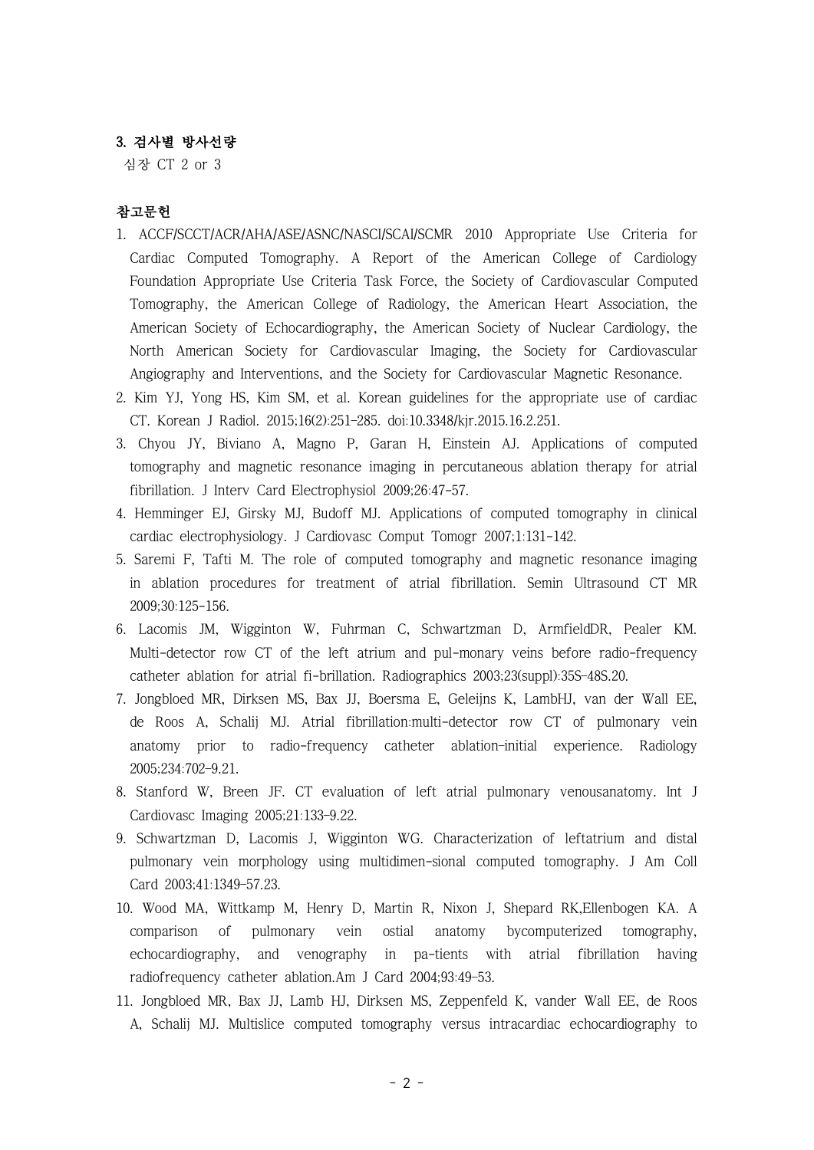## 3. 검사별 방사선량

심장 CT 2 or 3

## 참고문헌

- 1. ACCF/SCCT/ACR/AHA/ASE/ASNC/NASCI/SCAI/SCMR 2010 Appropriate Use Criteria for Cardiac Computed Tomography. A Report of the American College of Cardiology Foundation Appropriate Use Criteria Task Force, the Society of Cardiovascular Computed Tomography, the American College of Radiology, the American Heart Association, the American Society of Echocardiography, the American Society of Nuclear Cardiology, the North American Society for Cardiovascular Imaging, the Society for Cardiovascular Angiography and Interventions, and the Society for Cardiovascular Magnetic Resonance.
- 2. Kim YJ, Yong HS, Kim SM, et al. Korean guidelines for the appropriate use of cardiac CT. Korean J Radiol. 2015;16(2):251–285. doi:10.3348/kjr.2015.16.2.251.
- 3. Chyou JY, Biviano A, Magno P, Garan H, Einstein AJ. Applications of computed tomography and magnetic resonance imaging in percutaneous ablation therapy for atrial fibrillation. J Interv Card Electrophysiol 2009;26:47-57.
- 4. Hemminger EJ, Girsky MJ, Budoff MJ. Applications of computed tomography in clinical cardiac electrophysiology. J Cardiovasc Comput Tomogr 2007;1:131-142.
- 5. Saremi F, Tafti M. The role of computed tomography and magnetic resonance imaging in ablation procedures for treatment of atrial fibrillation. Semin Ultrasound CT MR 2009;30:125-156.
- 6. Lacomis JM, Wigginton W, Fuhrman C, Schwartzman D, ArmfieldDR, Pealer KM. Multi-detector row CT of the left atrium and pul-monary veins before radio-frequency catheter ablation for atrial fi-brillation. Radiographics 2003;23(suppl):35S–48S.20.
- 7. Jongbloed MR, Dirksen MS, Bax JJ, Boersma E, Geleijns K, LambHJ, van der Wall EE, de Roos A, Schalij MJ. Atrial fibrillation:multi-detector row CT of pulmonary vein anatomy prior to radio-frequency catheter ablation–initial experience. Radiology 2005;234:702–9.21.
- 8. Stanford W, Breen JF. CT evaluation of left atrial pulmonary venousanatomy. Int J Cardiovasc Imaging 2005;21:133–9.22.
- 9. Schwartzman D, Lacomis J, Wigginton WG. Characterization of leftatrium and distal pulmonary vein morphology using multidimen-sional computed tomography. J Am Coll Card 2003;41:1349–57.23.
- 10. Wood MA, Wittkamp M, Henry D, Martin R, Nixon J, Shepard RK,Ellenbogen KA. A comparison of pulmonary vein ostial anatomy bycomputerized tomography, echocardiography, and venography in pa-tients with atrial fibrillation having radiofrequency catheter ablation.Am J Card 2004;93:49–53.
- 11. Jongbloed MR, Bax JJ, Lamb HJ, Dirksen MS, Zeppenfeld K, vander Wall EE, de Roos A, Schalij MJ. Multislice computed tomography versus intracardiac echocardiography to